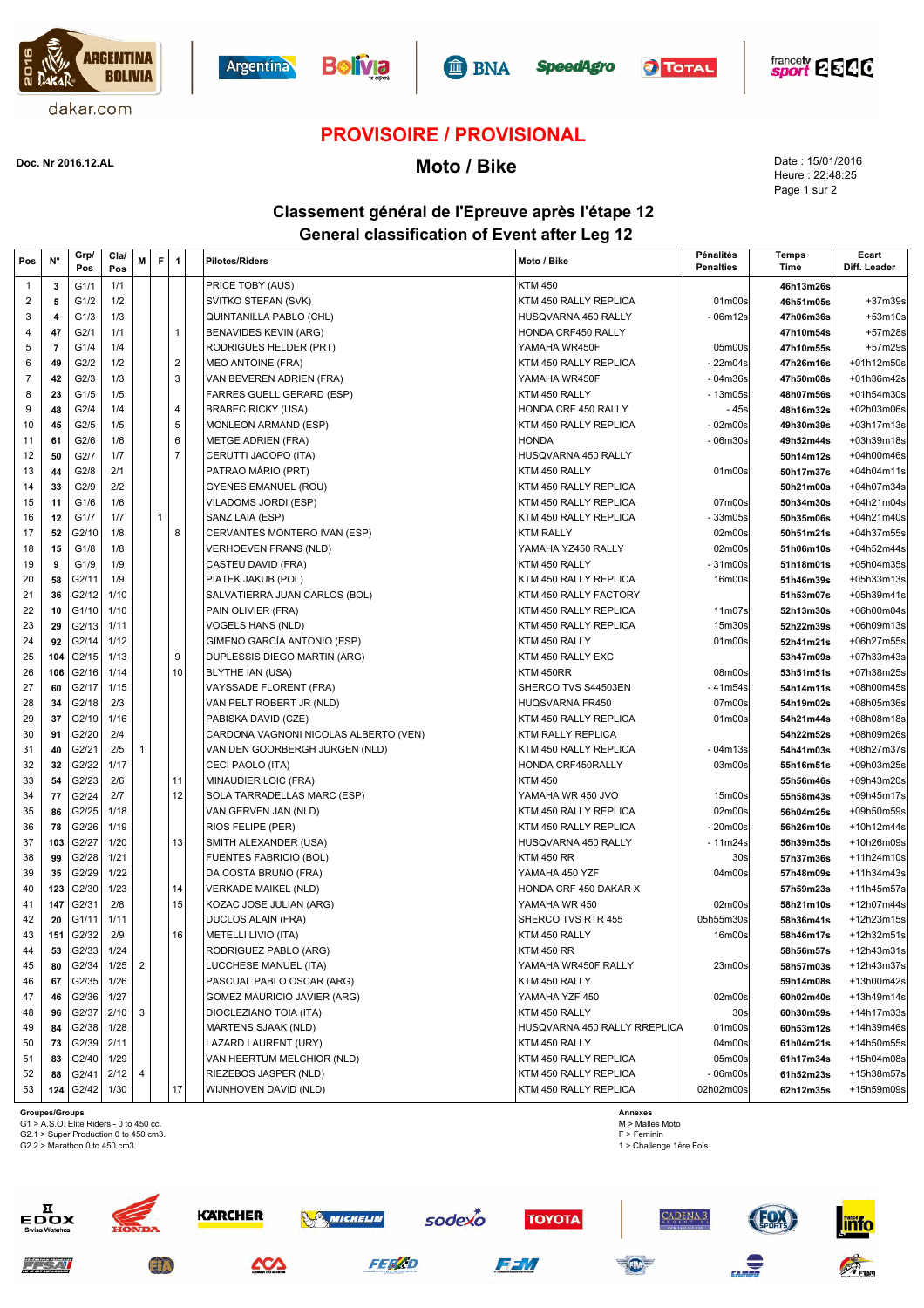











## **PROVISOIRE / PROVISIONAL**

**Moto / Bike Doc. Nr 2016.12.AL**

Date : 15/01/2016 Heure : 22:48:25 Page 1 sur 2

## **Classement général de l'Epreuve après l'étape 12 General classification of Event after Leg 12**

| Pos            | N°             | Grp/<br>Pos | Cla/<br>Pos | M              | F | $\mathbf{1}$   | <b>Pilotes/Riders</b>                 | Moto / Bike                  | Pénalités<br><b>Penalties</b> | Temps<br>Time | Ecart<br>Diff. Leader |
|----------------|----------------|-------------|-------------|----------------|---|----------------|---------------------------------------|------------------------------|-------------------------------|---------------|-----------------------|
| 1              | 3              | G1/1        | 1/1         |                |   |                | PRICE TOBY (AUS)                      | <b>KTM 450</b>               |                               | 46h13m26s     |                       |
| 2              | 5              | G1/2        | 1/2         |                |   |                | SVITKO STEFAN (SVK)                   | KTM 450 RALLY REPLICA        | 01m00s                        | 46h51m05s     | +37m39s               |
| 3              | 4              | G1/3        | 1/3         |                |   |                | QUINTANILLA PABLO (CHL)               | HUSQVARNA 450 RALLY          | - 06m12s                      | 47h06m36s     | +53m10s               |
| 4              | 47             | G2/1        | 1/1         |                |   | $\mathbf{1}$   | <b>BENAVIDES KEVIN (ARG)</b>          | HONDA CRF450 RALLY           |                               | 47h10m54s     | +57m28s               |
| 5              | $\overline{7}$ | G1/4        | 1/4         |                |   |                | RODRIGUES HELDER (PRT)                | YAMAHA WR450F                | 05m00s                        | 47h10m55s     | +57m29s               |
| 6              | 49             | G2/2        | 1/2         |                |   | $\overline{2}$ | <b>MEO ANTOINE (FRA)</b>              | KTM 450 RALLY REPLICA        | - 22m04s                      | 47h26m16s     | +01h12m50s            |
| $\overline{7}$ | 42             | G2/3        | 1/3         |                |   | $\mathbf{3}$   | VAN BEVEREN ADRIEN (FRA)              | YAMAHA WR450F                | - 04m36s                      | 47h50m08s     | +01h36m42s            |
| 8              | 23             | G1/5        | 1/5         |                |   |                | <b>FARRES GUELL GERARD (ESP)</b>      | KTM 450 RALLY                | - 13m05s                      | 48h07m56s     | +01h54m30s            |
| 9              | 48             | G2/4        | 1/4         |                |   | 4              | <b>BRABEC RICKY (USA)</b>             | HONDA CRF 450 RALLY          | - 45s                         | 48h16m32s     | +02h03m06s            |
| 10             | 45             | G2/5        | 1/5         |                |   | 5              | MONLEON ARMAND (ESP)                  | KTM 450 RALLY REPLICA        | $-02m00s$                     | 49h30m39s     | +03h17m13s            |
| 11             | 61             | G2/6        | 1/6         |                |   | 6              | <b>METGE ADRIEN (FRA)</b>             | <b>HONDA</b>                 | $-06m30s$                     | 49h52m44s     | +03h39m18s            |
| 12             | 50             | G2/7        | 1/7         |                |   | $\overline{7}$ | CERUTTI JACOPO (ITA)                  | HUSQVARNA 450 RALLY          |                               | 50h14m12s     | +04h00m46s            |
| 13             | 44             | G2/8        | 2/1         |                |   |                | PATRAO MÁRIO (PRT)                    | KTM 450 RALLY                | 01m00s                        | 50h17m37s     | +04h04m11s            |
| 14             | 33             | G2/9        | 2/2         |                |   |                | <b>GYENES EMANUEL (ROU)</b>           | KTM 450 RALLY REPLICA        |                               | 50h21m00s     | +04h07m34s            |
| 15             | 11             | G1/6        | 1/6         |                |   |                | VILADOMS JORDI (ESP)                  | KTM 450 RALLY REPLICA        | 07m00s                        | 50h34m30s     | +04h21m04s            |
| 16             | 12             | G1/7        | 1/7         |                |   |                | SANZ LAIA (ESP)                       | KTM 450 RALLY REPLICA        | 33m05s                        | 50h35m06s     | +04h21m40s            |
| 17             | 52             | G2/10       | 1/8         |                |   | 8              | CERVANTES MONTERO IVAN (ESP)          | <b>KTM RALLY</b>             | 02m00s                        | 50h51m21s     | +04h37m55s            |
| 18             | 15             | G1/8        | 1/8         |                |   |                | VERHOEVEN FRANS (NLD)                 | YAMAHA YZ450 RALLY           | 02m00s                        | 51h06m10s     | +04h52m44s            |
| 19             | 9              | G1/9        | 1/9         |                |   |                | CASTEU DAVID (FRA)                    | KTM 450 RALLY                | - 31m00s                      | 51h18m01s     | +05h04m35s            |
| 20             | 58             | G2/11       | 1/9         |                |   |                | PIATEK JAKUB (POL)                    | KTM 450 RALLY REPLICA        | 16m00s                        | 51h46m39s     | +05h33m13s            |
| 21             | 36             | G2/12       | 1/10        |                |   |                | SALVATIERRA JUAN CARLOS (BOL)         | KTM 450 RALLY FACTORY        |                               | 51h53m07s     | +05h39m41s            |
| 22             | 10             | G1/10       | 1/10        |                |   |                | PAIN OLIVIER (FRA)                    | KTM 450 RALLY REPLICA        | 11m07s                        | 52h13m30s     | +06h00m04s            |
| 23             | 29             | G2/13       | 1/11        |                |   |                | <b>VOGELS HANS (NLD)</b>              | KTM 450 RALLY REPLICA        | 15m30s                        | 52h22m39s     | +06h09m13s            |
| 24             | 92             | G2/14       | 1/12        |                |   |                | GIMENO GARCÍA ANTONIO (ESP)           | KTM 450 RALLY                | 01m00s                        | 52h41m21s     | +06h27m55s            |
| 25             | 104            | G2/15       | 1/13        |                |   | 9              | DUPLESSIS DIEGO MARTIN (ARG)          | KTM 450 RALLY EXC            |                               | 53h47m09s     | +07h33m43s            |
| 26             | 106            | G2/16       | 1/14        |                |   | 10             | BLYTHE IAN (USA)                      | KTM 450RR                    | 08m00s                        | 53h51m51s     | +07h38m25s            |
| 27             | 60             | G2/17       | 1/15        |                |   |                | VAYSSADE FLORENT (FRA)                | SHERCO TVS S44503EN          | - 41m54s                      | 54h14m11s     | +08h00m45s            |
| 28             | 34             | G2/18       | 2/3         |                |   |                | VAN PELT ROBERT JR (NLD)              | <b>HUQSVARNA FR450</b>       | 07m00s                        | 54h19m02s     | +08h05m36s            |
| 29             | 37             | G2/19       | 1/16        |                |   |                | PABISKA DAVID (CZE)                   | KTM 450 RALLY REPLICA        | 01m00s                        | 54h21m44s     | +08h08m18s            |
| 30             | 91             | G2/20       | 2/4         |                |   |                | CARDONA VAGNONI NICOLAS ALBERTO (VEN) | KTM RALLY REPLICA            |                               | 54h22m52s     | +08h09m26s            |
| 31             | 40             | G2/21       | 2/5         | 1              |   |                | VAN DEN GOORBERGH JURGEN (NLD)        | KTM 450 RALLY REPLICA        | - 04m13s                      | 54h41m03s     | +08h27m37s            |
| 32             | 32             | G2/22       | 1/17        |                |   |                | CECI PAOLO (ITA)                      | HONDA CRF450RALLY            | 03m00s                        | 55h16m51s     | +09h03m25s            |
| 33             | 54             | G2/23       | 2/6         |                |   | 11             | MINAUDIER LOIC (FRA)                  | <b>KTM 450</b>               |                               | 55h56m46s     | +09h43m20s            |
| 34             | 77             | G2/24       | 2/7         |                |   | 12             | SOLA TARRADELLAS MARC (ESP)           | YAMAHA WR 450 JVO            | 15m00s                        | 55h58m43s     | +09h45m17s            |
| 35             | 86             | G2/25       | 1/18        |                |   |                | VAN GERVEN JAN (NLD)                  | KTM 450 RALLY REPLICA        | 02m00s                        | 56h04m25s     | +09h50m59s            |
| 36             | 78             | G2/26       | 1/19        |                |   |                | RIOS FELIPE (PER)                     | KTM 450 RALLY REPLICA        | $-20m00s$                     | 56h26m10s     | +10h12m44s            |
| 37             | 103            | G2/27       | 1/20        |                |   | 13             | SMITH ALEXANDER (USA)                 | HUSQVARNA 450 RALLY          | $-11m24s$                     | 56h39m35s     | +10h26m09s            |
| 38             | 99             | G2/28       | 1/21        |                |   |                | <b>FUENTES FABRICIO (BOL)</b>         | <b>KTM 450 RR</b>            | 30s                           | 57h37m36s     | +11h24m10s            |
| 39             | 35             | G2/29       | 1/22        |                |   |                | DA COSTA BRUNO (FRA)                  | YAMAHA 450 YZF               | 04m00s                        | 57h48m09s     | +11h34m43s            |
| 40             | 123            | G2/30       | 1/23        |                |   | 14             | <b>VERKADE MAIKEL (NLD)</b>           | HONDA CRF 450 DAKAR X        |                               | 57h59m23s     | +11h45m57s            |
| 41             | 147            | G2/31       | 2/8         |                |   | 15             | KOZAC JOSE JULIAN (ARG)               | YAMAHA WR 450                | 02m00s                        | 58h21m10s     | +12h07m44s            |
| 42             | 20             | G1/11       | 1/11        |                |   |                | <b>DUCLOS ALAIN (FRA)</b>             | SHERCO TVS RTR 455           | 05h55m30s                     | 58h36m41s     | +12h23m15s            |
| 43             | 151            | G2/32       | 2/9         |                |   | 16             | METELLI LIVIO (ITA)                   | KTM 450 RALLY                | 16m00s                        | 58h46m17s     | +12h32m51s            |
|                | 53             | G2/33       | 1/24        |                |   |                | RODRIGUEZ PABLO (ARG)                 | <b>KTM 450 RR</b>            |                               | 58h56m57s     | +12h43m31s            |
| 45             | 80             | G2/34       | 1/25        | $\overline{2}$ |   |                | LUCCHESE MANUEL (ITA)                 | YAMAHA WR450F RALLY          | 23m00s                        | 58h57m03s     | +12h43m37s            |
| 46             | 67             | G2/35       | 1/26        |                |   |                | PASCUAL PABLO OSCAR (ARG)             | KTM 450 RALLY                |                               | 59h14m08s     | +13h00m42s            |
| 47             | 46             | G2/36       | 1/27        |                |   |                | GOMEZ MAURICIO JAVIER (ARG)           | YAMAHA YZF 450               | 02m00s                        | 60h02m40s     | +13h49m14s            |
| 48             | 96             | G2/37       | 2/10        | 3              |   |                | DIOCLEZIANO TOIA (ITA)                | KTM 450 RALLY                | 30 <sub>s</sub>               | 60h30m59s     | +14h17m33s            |
| 49             | 84             | G2/38       | 1/28        |                |   |                | MARTENS SJAAK (NLD)                   | HUSQVARNA 450 RALLY RREPLICA | 01m00s                        | 60h53m12s     | +14h39m46s            |
| 50             | 73             | G2/39       | 2/11        |                |   |                | LAZARD LAURENT (URY)                  | KTM 450 RALLY                | 04m00s                        | 61h04m21s     | +14h50m55s            |
| 51             | 83             | G2/40       | 1/29        |                |   |                | VAN HEERTUM MELCHIOR (NLD)            | KTM 450 RALLY REPLICA        | 05m00s                        | 61h17m34s     | +15h04m08s            |
| 52             | 88             | G2/41       | 2/12        | 4              |   |                | RIEZEBOS JASPER (NLD)                 | KTM 450 RALLY REPLICA        | - 06m00s                      | 61h52m23s     | +15h38m57s            |
| 53             | 124            | G2/42       | 1/30        |                |   | 17             | WIJNHOVEN DAVID (NLD)                 | KTM 450 RALLY REPLICA        | 02h02m00s                     | 62h12m35s     | +15h59m09s            |

òх

 $z \neq 7.7$ 

**Groupes/Groups**<br>G1 > A.S.O. Elite Riders - 0 to 450 cc.<br>G2.1 > Super Production 0 to 450 cm3.

G2.2 > Marathon 0 to 450 cm3.

**Annexes** M > Malles Moto F > Feminin 1 > Challenge 1ère Fois.







**TOYOTA** 



**ZADENA 3**